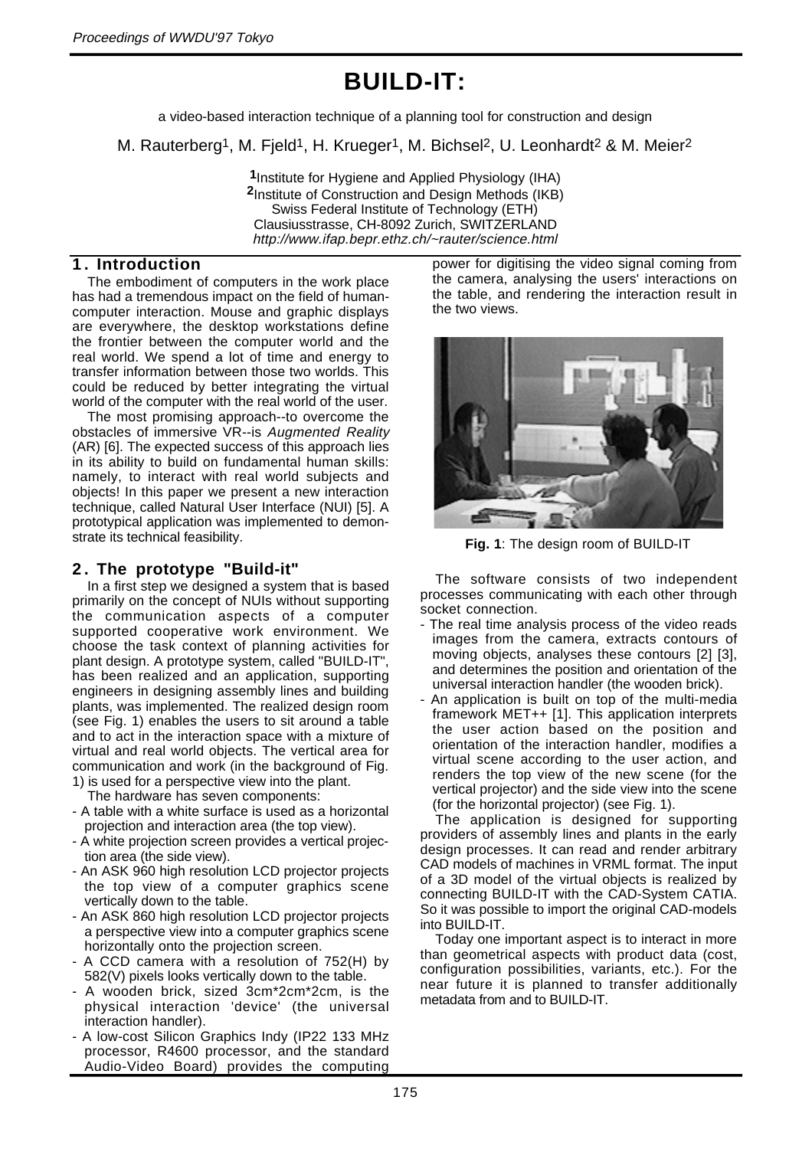### **BUILD-IT:**

a video-based interaction technique of a planning tool for construction and design

M. Rauterberg<sup>1</sup>, M. Fjeld<sup>1</sup>, H. Krueger<sup>1</sup>, M. Bichsel<sup>2</sup>, U. Leonhardt<sup>2</sup> & M. Meier<sup>2</sup>

**1**Institute for Hygiene and Applied Physiology (IHA) **2**Institute of Construction and Design Methods (IKB) Swiss Federal Institute of Technology (ETH) Clausiusstrasse, CH-8092 Zurich, SWITZERLAND http://www.ifap.bepr.ethz.ch/~rauter/science.html

#### **1. Introduction**

The embodiment of computers in the work place has had a tremendous impact on the field of humancomputer interaction. Mouse and graphic displays are everywhere, the desktop workstations define the frontier between the computer world and the real world. We spend a lot of time and energy to transfer information between those two worlds. This could be reduced by better integrating the virtual world of the computer with the real world of the user.

The most promising approach--to overcome the obstacles of immersive VR--is Augmented Reality (AR) [6]. The expected success of this approach lies in its ability to build on fundamental human skills: namely, to interact with real world subjects and objects! In this paper we present a new interaction technique, called Natural User Interface (NUI) [5]. A prototypical application was implemented to demonstrate its technical feasibility.

#### **2 . The prototype "Build-it"**

In a first step we designed a system that is based primarily on the concept of NUIs without supporting the communication aspects of a computer supported cooperative work environment. We choose the task context of planning activities for plant design. A prototype system, called "BUILD-IT", has been realized and an application, supporting engineers in designing assembly lines and building plants, was implemented. The realized design room (see Fig. 1) enables the users to sit around a table and to act in the interaction space with a mixture of virtual and real world objects. The vertical area for communication and work (in the background of Fig. 1) is used for a perspective view into the plant.

The hardware has seven components:

- A table with a white surface is used as a horizontal projection and interaction area (the top view).
- A white projection screen provides a vertical projection area (the side view).
- An ASK 960 high resolution LCD projector projects the top view of a computer graphics scene vertically down to the table.
- An ASK 860 high resolution LCD projector projects a perspective view into a computer graphics scene horizontally onto the projection screen.
- A CCD camera with a resolution of 752(H) by 582(V) pixels looks vertically down to the table.
- A wooden brick, sized 3cm\*2cm\*2cm, is the physical interaction 'device' (the universal interaction handler).
- A low-cost Silicon Graphics Indy (IP22 133 MHz processor, R4600 processor, and the standard Audio-Video Board) provides the computing

power for digitising the video signal coming from the camera, analysing the users' interactions on the table, and rendering the interaction result in the two views.



**Fig. 1**: The design room of BUILD-IT

The software consists of two independent processes communicating with each other through socket connection.

- The real time analysis process of the video reads images from the camera, extracts contours of moving objects, analyses these contours [2] [3], and determines the position and orientation of the universal interaction handler (the wooden brick).
- An application is built on top of the multi-media framework MET++ [1]. This application interprets the user action based on the position and orientation of the interaction handler, modifies a virtual scene according to the user action, and renders the top view of the new scene (for the vertical projector) and the side view into the scene (for the horizontal projector) (see Fig. 1).

The application is designed for supporting providers of assembly lines and plants in the early design processes. It can read and render arbitrary CAD models of machines in VRML format. The input of a 3D model of the virtual objects is realized by connecting BUILD-IT with the CAD-System CATIA. So it was possible to import the original CAD-models into BUILD-IT.

Today one important aspect is to interact in more than geometrical aspects with product data (cost, configuration possibilities, variants, etc.). For the near future it is planned to transfer additionally metadata from and to BUILD-IT.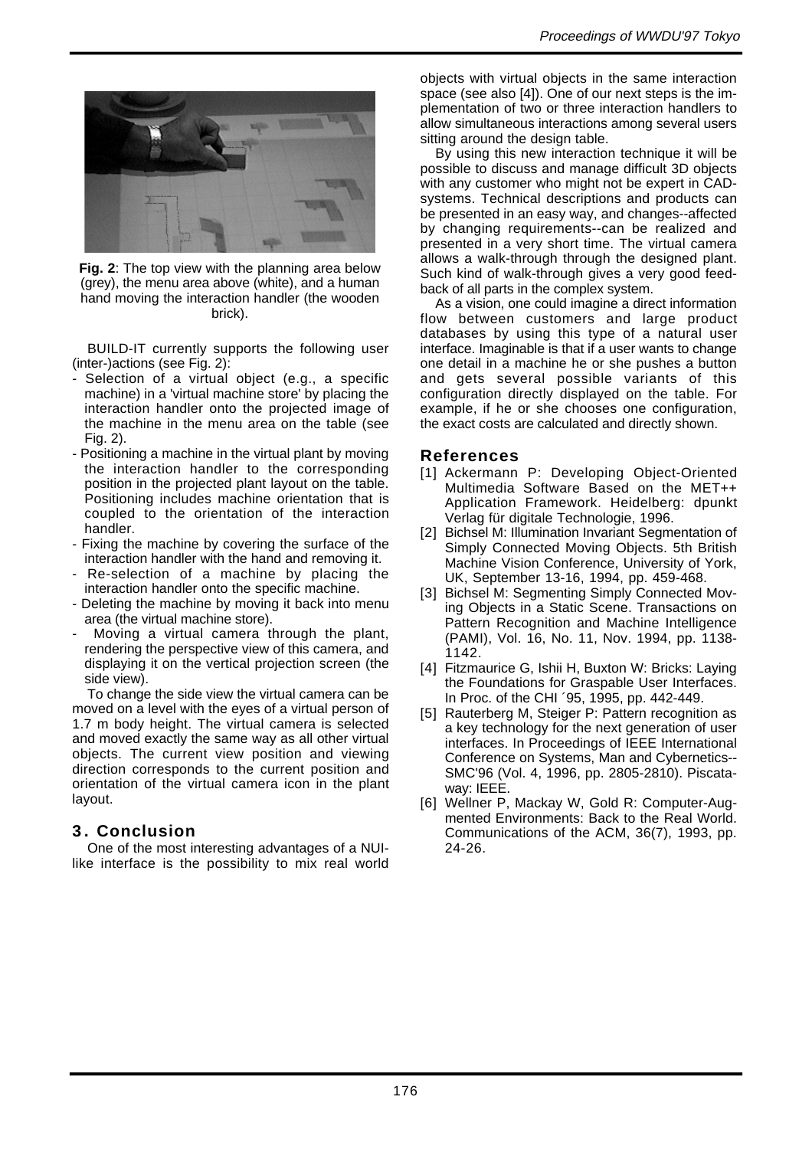

**Fig. 2**: The top view with the planning area below (grey), the menu area above (white), and a human hand moving the interaction handler (the wooden brick).

BUILD-IT currently supports the following user (inter-)actions (see Fig. 2):

- Selection of a virtual object (e.g., a specific machine) in a 'virtual machine store' by placing the interaction handler onto the projected image of the machine in the menu area on the table (see Fig. 2).
- Positioning a machine in the virtual plant by moving the interaction handler to the corresponding position in the projected plant layout on the table. Positioning includes machine orientation that is coupled to the orientation of the interaction handler.
- Fixing the machine by covering the surface of the interaction handler with the hand and removing it.
- Re-selection of a machine by placing the interaction handler onto the specific machine.
- Deleting the machine by moving it back into menu area (the virtual machine store).
- Moving a virtual camera through the plant, rendering the perspective view of this camera, and displaying it on the vertical projection screen (the side view).

To change the side view the virtual camera can be moved on a level with the eyes of a virtual person of 1.7 m body height. The virtual camera is selected and moved exactly the same way as all other virtual objects. The current view position and viewing direction corresponds to the current position and orientation of the virtual camera icon in the plant layout.

#### **3. Conclusion**

One of the most interesting advantages of a NUIlike interface is the possibility to mix real world objects with virtual objects in the same interaction space (see also [4]). One of our next steps is the implementation of two or three interaction handlers to allow simultaneous interactions among several users sitting around the design table.

By using this new interaction technique it will be possible to discuss and manage difficult 3D objects with any customer who might not be expert in CADsystems. Technical descriptions and products can be presented in an easy way, and changes--affected by changing requirements--can be realized and presented in a very short time. The virtual camera allows a walk-through through the designed plant. Such kind of walk-through gives a very good feedback of all parts in the complex system.

As a vision, one could imagine a direct information flow between customers and large product databases by using this type of a natural user interface. Imaginable is that if a user wants to change one detail in a machine he or she pushes a button and gets several possible variants of this configuration directly displayed on the table. For example, if he or she chooses one configuration, the exact costs are calculated and directly shown.

#### **References**

- [1] Ackermann P: Developing Object-Oriented Multimedia Software Based on the MET++ Application Framework. Heidelberg: dpunkt Verlag für digitale Technologie, 1996.
- [2] Bichsel M: Illumination Invariant Segmentation of Simply Connected Moving Objects. 5th British Machine Vision Conference, University of York, UK, September 13-16, 1994, pp. 459-468.
- [3] Bichsel M: Segmenting Simply Connected Moving Objects in a Static Scene. Transactions on Pattern Recognition and Machine Intelligence (PAMI), Vol. 16, No. 11, Nov. 1994, pp. 1138- 1142.
- [4] Fitzmaurice G, Ishii H, Buxton W: Bricks: Laying the Foundations for Graspable User Interfaces. In Proc. of the CHI ´95, 1995, pp. 442-449.
- [5] Rauterberg M, Steiger P: Pattern recognition as a key technology for the next generation of user interfaces. In Proceedings of IEEE International Conference on Systems, Man and Cybernetics-- SMC'96 (Vol. 4, 1996, pp. 2805-2810). Piscataway: IEEE.
- [6] Wellner P, Mackay W, Gold R: Computer-Augmented Environments: Back to the Real World. Communications of the ACM, 36(7), 1993, pp. 24-26.